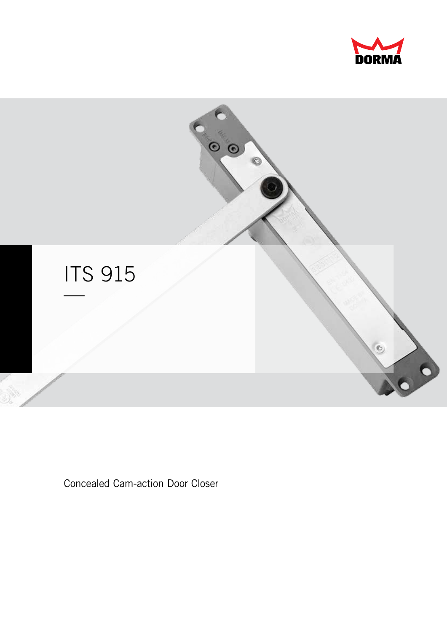



**Concealed Cam-action Door Closer**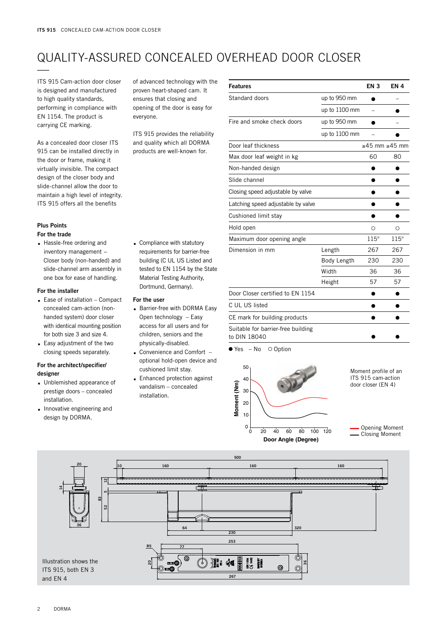# QUALITY-ASSURED CONCEALED OVERHEAD DOOR CLOSER —

ITS 915 Cam-action door closer is designed and manufactured to high quality standards, performing in compliance with EN 1154. The product is carrying CE marking.

As a concealed door closer ITS 915 can be installed directly in the door or frame, making it virtually invisible. The compact design of the closer body and slide-channel allow the door to maintain a high level of integrity. ITS 915 offers all the benefits

### **Plus Points**

#### **For the trade**

**.** Hassle-free ordering and inventory management − Closer body (non-handed) and slide-channel arm assembly in one box for ease of handling.

#### **For the installer**

- **.** Ease of installation Compact concealed cam-action (nonhanded system) door closer with identical mounting position for both size 3 and size 4.
- **.** Easy adjustment of the two closing speeds separately.

#### **For the architect/specifier/ designer**

- **.** Unblemished appearance of prestige doors – concealed installation.
- **.** Innovative engineering and design by DORMA.

of advanced technology with the proven heart-shaped cam. It ensures that closing and opening of the door is easy for everyone.

ITS 915 provides the reliability and quality which all DORMA products are well-known for.

**.** Compliance with statutory requirements for barrier-free building (C UL US Listed and tested to EN 1154 by the State Material Testing Authority, Dortmund, Germany).

**.** Barrier-free with DORMA Easy Open technology – Easy access for all users and for children, seniors and the physically-disabled. **.** Convenience and Comfort – optional hold-open device and

cushioned limit stay. **.** Enhanced protection against vandalism – concealed

installation.

**For the user**

| <b>Features</b>                                    |               | <b>EN 3</b> | <b>EN4</b>                |
|----------------------------------------------------|---------------|-------------|---------------------------|
| Standard doors                                     | up to 950 mm  |             |                           |
|                                                    | up to 1100 mm |             |                           |
| Fire and smoke check doors                         | up to 950 mm  |             |                           |
|                                                    | up to 1100 mm |             |                           |
| Door leaf thickness                                |               |             | $\geq$ 45 mm $\geq$ 45 mm |
| Max door leaf weight in kg                         |               | 60          | 80                        |
| Non-handed design                                  |               |             |                           |
| Slide channel                                      |               |             |                           |
| Closing speed adjustable by valve                  |               |             |                           |
| Latching speed adjustable by valve                 |               |             |                           |
| Cushioned limit stay                               |               |             |                           |
| Hold open                                          |               | Ο           | Ο                         |
| Maximum door opening angle                         |               | 115°        | 115°                      |
| Dimension in mm                                    | Length        | 267         | 267                       |
|                                                    | Body Length   | 230         | 230                       |
|                                                    | Width         | 36          | 36                        |
|                                                    | Height        | 57          | 57                        |
| Door Closer certified to EN 1154                   |               |             |                           |
| C UL US listed                                     |               |             |                           |
| CE mark for building products                      |               |             |                           |
| Suitable for barrier-free building<br>to DIN 18040 |               |             |                           |

 $\bullet$  Yes – No  $\circ$  Option



Moment profile of an ITS 915 cam-action door closer (EN 4)

Opening Moment Closing Moment



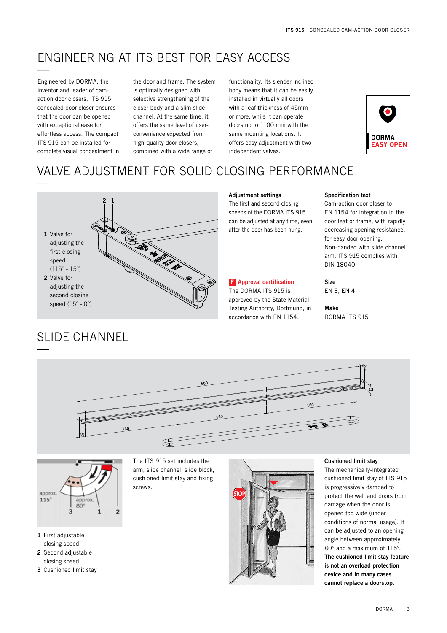### ENGINEERING AT ITS BEST FOR EASY ACCESS —

Engineered by DORMA, the inventor and leader of camaction door closers, ITS 915 concealed door closer ensures that the door can be opened with exceptional ease for effortless access. The compact ITS 915 can be installed for complete visual concealment in the door and frame. The system is optimally designed with selective strengthening of the closer body and a slim slide channel. At the same time, it offers the same level of userconvenience expected from high-quality door closers, combined with a wide range of

functionality. Its slender inclined body means that it can be easily installed in virtually all doors with a leaf thickness of 45mm or more, while it can operate doors up to 1100 mm with the same mounting locations. It offers easy adjustment with two independent valves.



# VALVE ADJUSTMENT FOR SOLID CLOSING PERFORMANCE



#### **Adjustment settings**

**<sup>2</sup> <sup>1</sup>** The first and second closing speeds of the DORMA ITS 915 can be adjusted at any time, even after the door has been hung.

### **Approval certification F**

The DORMA ITS 915 is approved by the State Material Testing Authority, Dortmund, in accordance with EN 1154.

#### **Specification text**

Cam-action door closer to EN 1154 for integration in the door leaf or frame, with rapidly decreasing opening resistance, for easy door opening. Non-handed with slide channel arm. ITS 915 complies with DIN 18040.

#### **Size**

EN 3, EN 4

**Make** DORMA ITS 915







- **1** First adjustable closing speed
- **2** Second adjustable closing speed
- **3** Cushioned limit stay

The ITS 915 set includes the arm, slide channel, slide block, cushioned limit stay and fixing screws.



#### **Cushioned limit stay**

The mechanically-integrated cushioned limit stay of ITS 915 is progressively damped to protect the wall and doors from damage when the door is opened too wide (under conditions of normal usage). It can be adjusted to an opening angle between approximately 80° and a maximum of 115°. **The cushioned limit stay feature is not an overload protection device and in many cases cannot replace a doorstop.**

3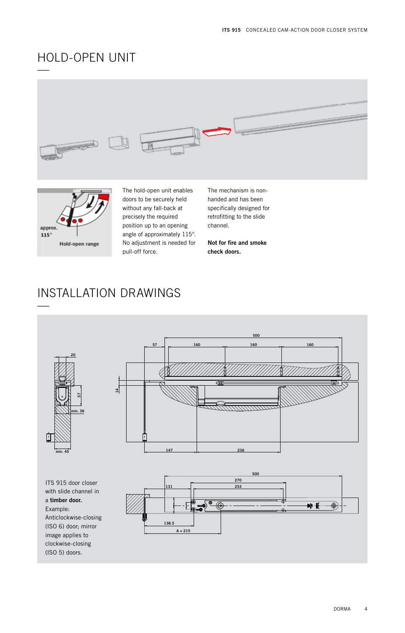# HOLD-OPEN UNIT





(ISO 5) doors.

The hold-open unit enables doors to be securely held without any fall-back at precisely the required position up to an opening angle of approximately 115°. No adjustment is needed for pull-off force.

The mechanism is nonhanded and has been specifically designed for retrofitting to the slide channel.

**Not for fire and smoke check doors.**

# INSTALLATION DRAWINGS

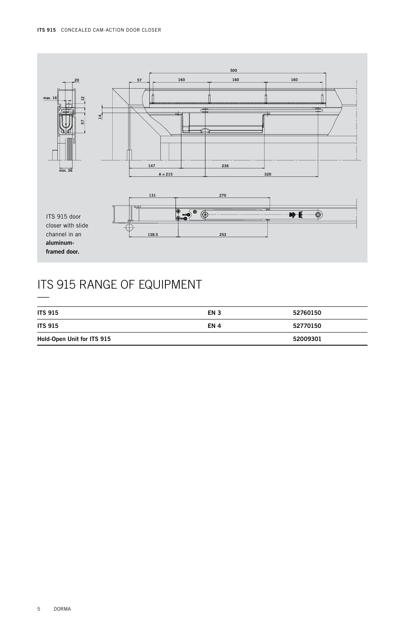

# ITS 915 RANGE OF EQUIPMENT —

| <b>ITS 915</b>             | EN 3 | 52760150 |
|----------------------------|------|----------|
| <b>ITS 915</b>             | EN 4 | 52770150 |
| Hold-Open Unit for ITS 915 |      | 52009301 |